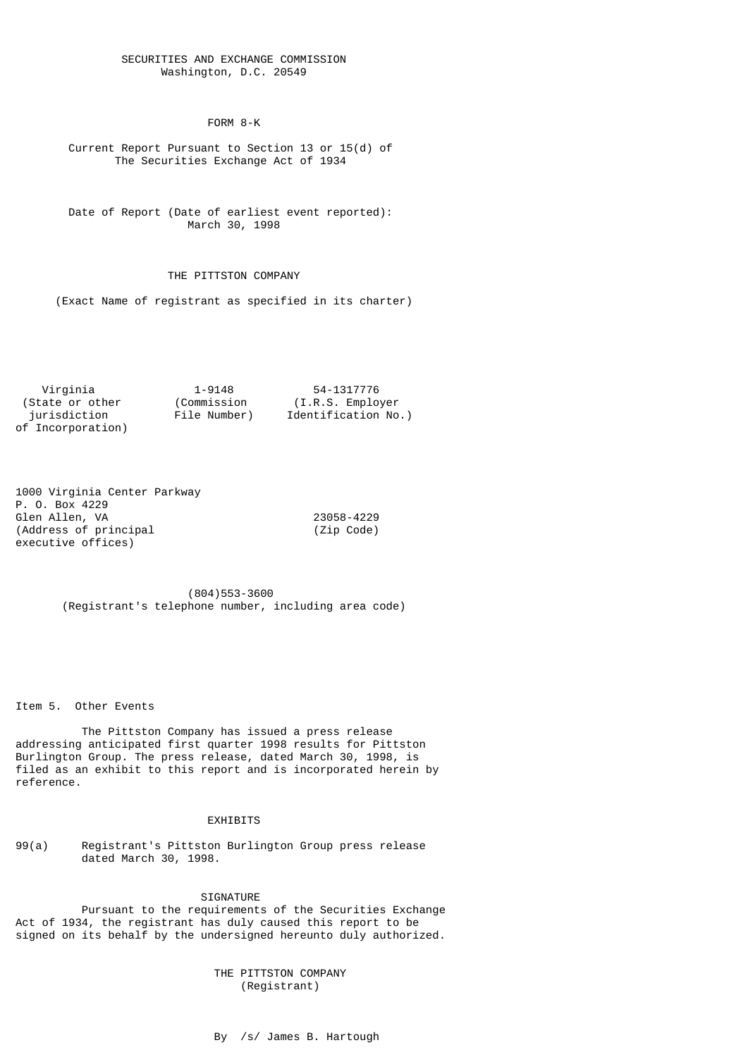## SECURITIES AND EXCHANGE COMMISSION Washington, D.C. 20549

FORM 8-K

 Current Report Pursuant to Section 13 or 15(d) of The Securities Exchange Act of 1934

 Date of Report (Date of earliest event reported): March 30, 1998

## THE PITTSTON COMPANY

(Exact Name of registrant as specified in its charter)

 Virginia 1-9148 54-1317776 (Commission (I.R.S. Employer<br>File Number) Identification No jurisdiction File Number) Identification No.) of Incorporation)

1000 Virginia Center Parkway P. O. Box 4229 Glen Allen, VA 23058-4229 (Address of principal (Zip Code) executive offices)

 (804)553-3600 (Registrant's telephone number, including area code)

Item 5. Other Events

 The Pittston Company has issued a press release addressing anticipated first quarter 1998 results for Pittston Burlington Group. The press release, dated March 30, 1998, is filed as an exhibit to this report and is incorporated herein by reference.

## EXHIBITS

99(a) Registrant's Pittston Burlington Group press release dated March 30, 1998.

SIGNATURE

 Pursuant to the requirements of the Securities Exchange Act of 1934, the registrant has duly caused this report to be signed on its behalf by the undersigned hereunto duly authorized.

> THE PITTSTON COMPANY (Registrant)

By /s/ James B. Hartough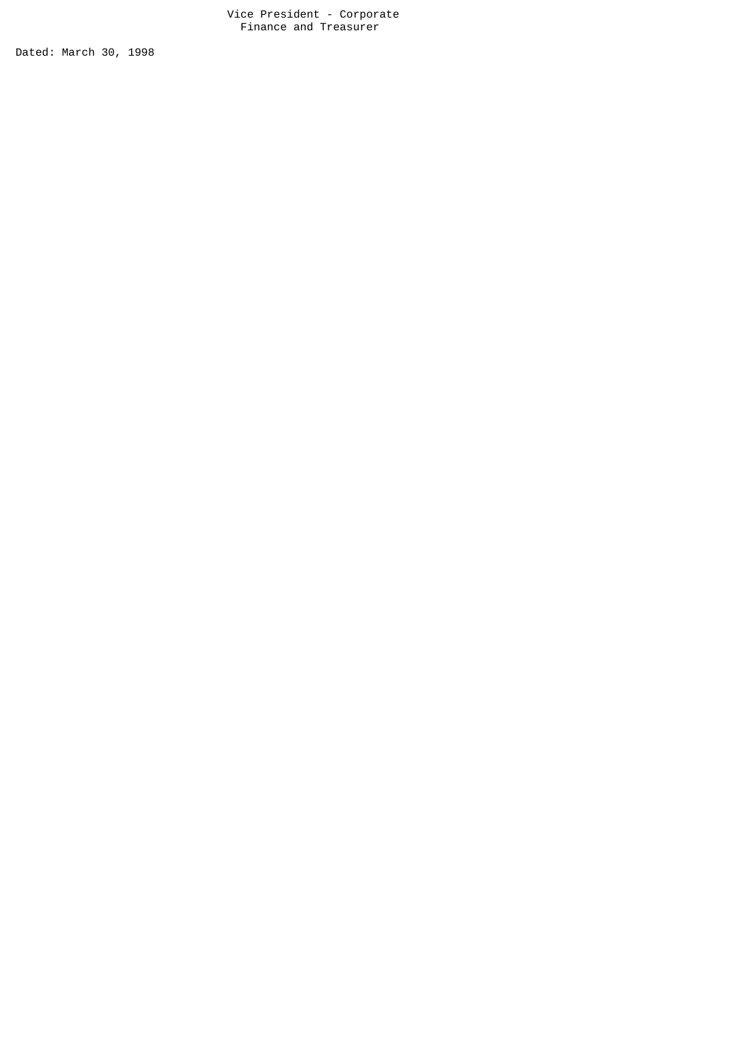Vice President - Corporate Finance and Treasurer

Dated: March 30, 1998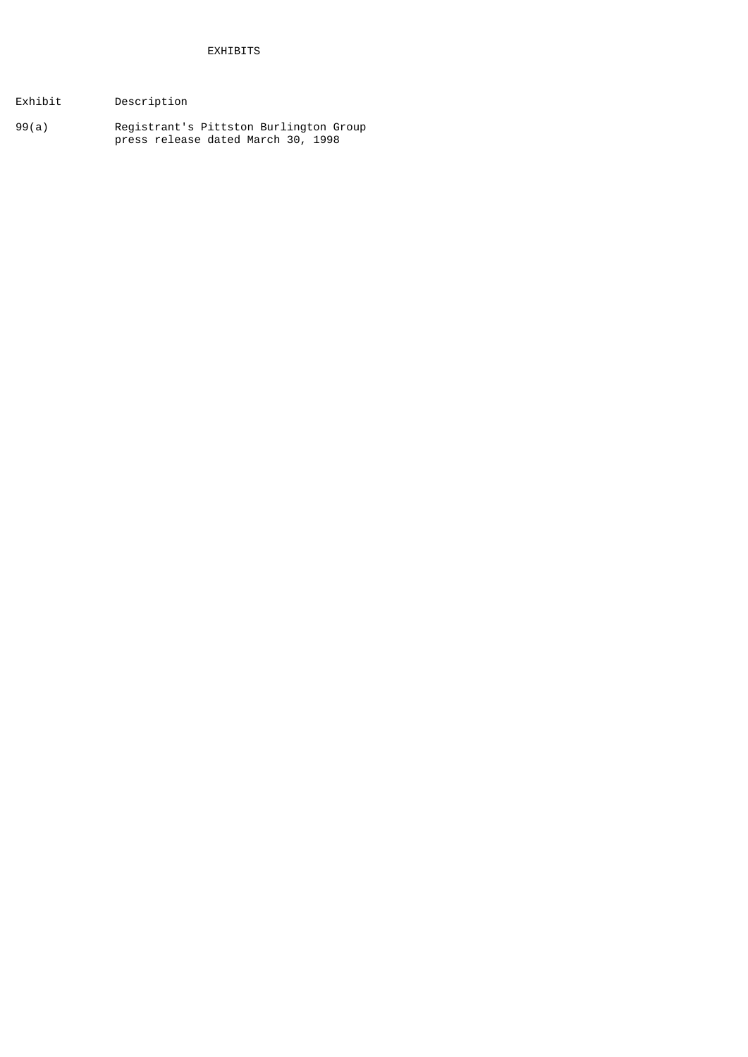- Exhibit Description
- 99(a) Registrant's Pittston Burlington Group press release dated March 30, 1998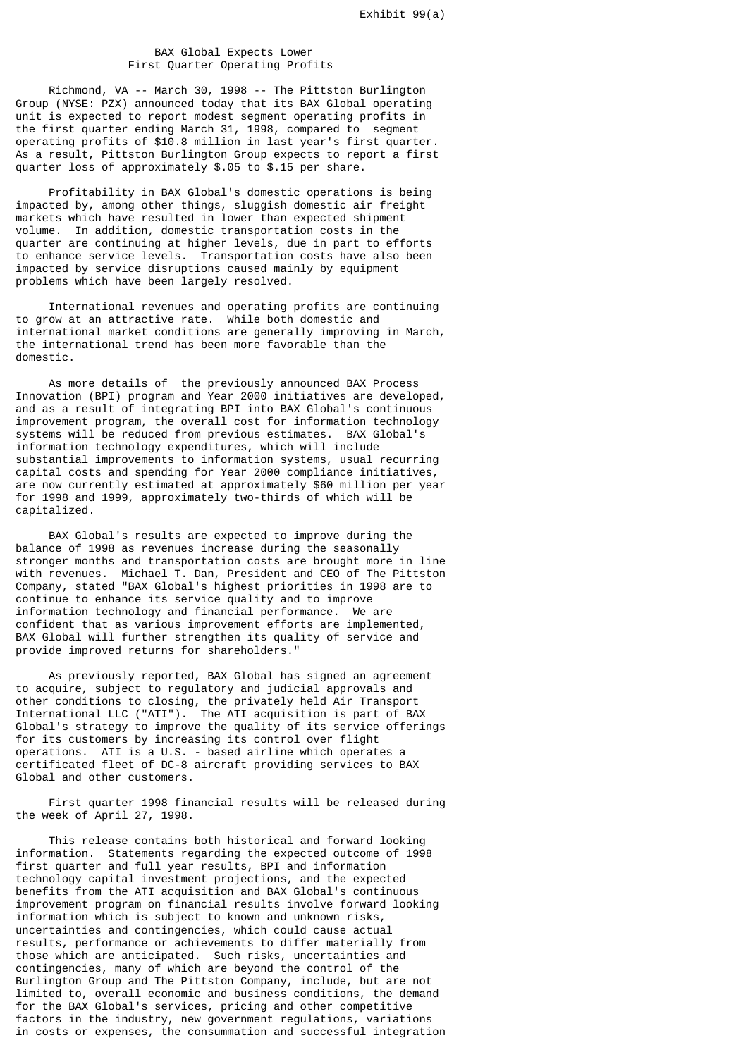## BAX Global Expects Lower First Quarter Operating Profits

 Richmond, VA -- March 30, 1998 -- The Pittston Burlington Group (NYSE: PZX) announced today that its BAX Global operating unit is expected to report modest segment operating profits in the first quarter ending March 31, 1998, compared to segment operating profits of \$10.8 million in last year's first quarter. As a result, Pittston Burlington Group expects to report a first quarter loss of approximately \$.05 to \$.15 per share.

 Profitability in BAX Global's domestic operations is being impacted by, among other things, sluggish domestic air freight markets which have resulted in lower than expected shipment volume. In addition, domestic transportation costs in the quarter are continuing at higher levels, due in part to efforts to enhance service levels. Transportation costs have also been impacted by service disruptions caused mainly by equipment problems which have been largely resolved.

 International revenues and operating profits are continuing to grow at an attractive rate. While both domestic and international market conditions are generally improving in March, the international trend has been more favorable than the domestic.

 As more details of the previously announced BAX Process Innovation (BPI) program and Year 2000 initiatives are developed, and as a result of integrating BPI into BAX Global's continuous improvement program, the overall cost for information technology systems will be reduced from previous estimates. BAX Global's information technology expenditures, which will include substantial improvements to information systems, usual recurring capital costs and spending for Year 2000 compliance initiatives, are now currently estimated at approximately \$60 million per year for 1998 and 1999, approximately two-thirds of which will be capitalized.

 BAX Global's results are expected to improve during the balance of 1998 as revenues increase during the seasonally stronger months and transportation costs are brought more in line with revenues. Michael T. Dan, President and CEO of The Pittston Company, stated "BAX Global's highest priorities in 1998 are to continue to enhance its service quality and to improve information technology and financial performance. We are confident that as various improvement efforts are implemented, BAX Global will further strengthen its quality of service and provide improved returns for shareholders."

 As previously reported, BAX Global has signed an agreement to acquire, subject to regulatory and judicial approvals and other conditions to closing, the privately held Air Transport International LLC ("ATI"). The ATI acquisition is part of BAX Global's strategy to improve the quality of its service offerings for its customers by increasing its control over flight operations. ATI is a U.S. - based airline which operates a certificated fleet of DC-8 aircraft providing services to BAX Global and other customers.

 First quarter 1998 financial results will be released during the week of April 27, 1998.

 This release contains both historical and forward looking information. Statements regarding the expected outcome of 1998 first quarter and full year results, BPI and information technology capital investment projections, and the expected benefits from the ATI acquisition and BAX Global's continuous improvement program on financial results involve forward looking information which is subject to known and unknown risks, uncertainties and contingencies, which could cause actual results, performance or achievements to differ materially from those which are anticipated. Such risks, uncertainties and contingencies, many of which are beyond the control of the Burlington Group and The Pittston Company, include, but are not limited to, overall economic and business conditions, the demand for the BAX Global's services, pricing and other competitive factors in the industry, new government regulations, variations in costs or expenses, the consummation and successful integration